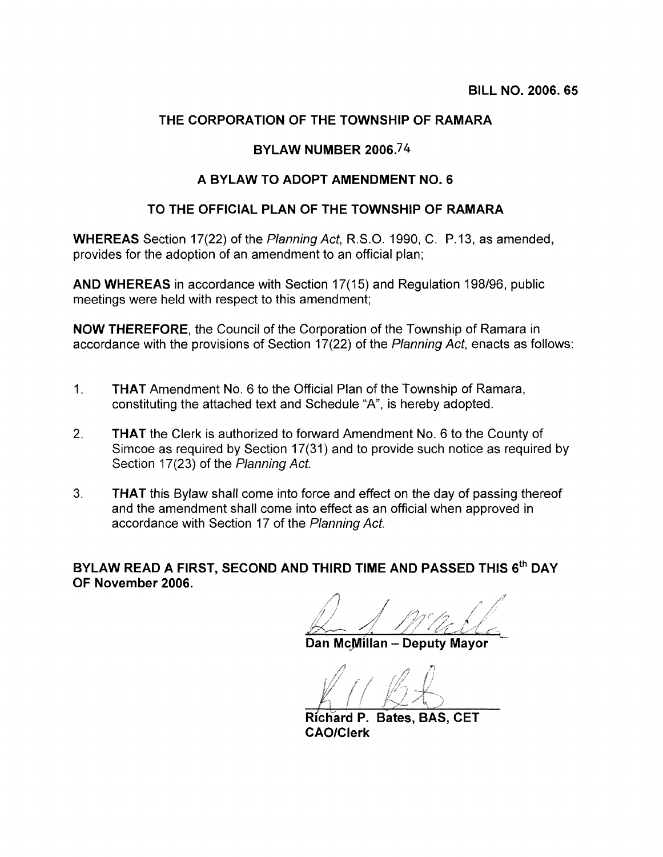## **THE CORPORATION OF THE TOWNSHIP OF RAMARA**

### **BYLAW NUMBER 2006.7 4**

## **A BYLAW TO ADOPT AMENDMENT NO.6**

### **TO THE OFFICIAL PLAN OF THE TOWNSHIP OF RAMARA**

**WHEREAS** Section 17(22) of the Planning Act, R.S.O. 1990, C. P.13, as amended, provides for the adoption of an amendment to an official plan;

**AND WHEREAS** in accordance with Section 17(15) and Regulation 198/96, public meetings were held with respect to this amendment;

**NOW THEREFORE,** the Council of the Corporation of the Township of Ramara in accordance with the provisions of Section 17(22) of the Planning Act, enacts as follows:

- 1. **THAT** Amendment No.6 to the Official Plan of the Township of Ramara, constituting the attached text and Schedule "A", is hereby adopted.
- 2. **THAT** the Clerk is authorized to forward Amendment No.6 to the County of Simcoe as required by Section 17(31) and to provide such notice as required by Section 17(23) of the Planning Act.
- 3. **THAT** this Bylaw shall come into force and effect on the day of passing thereof and the amendment shall come into effect as an official when approved in accordance with Section 17 of the Planning Act.

**BYLAW READ A FIRST, SECOND AND THIRD TIME AND PASSED THIS** 6th **DAY OF November 2006.** 

Dan McMillan - Deputy Mayor

 $Richard$  P. Bates, BAS, CET **CAO/Clerk**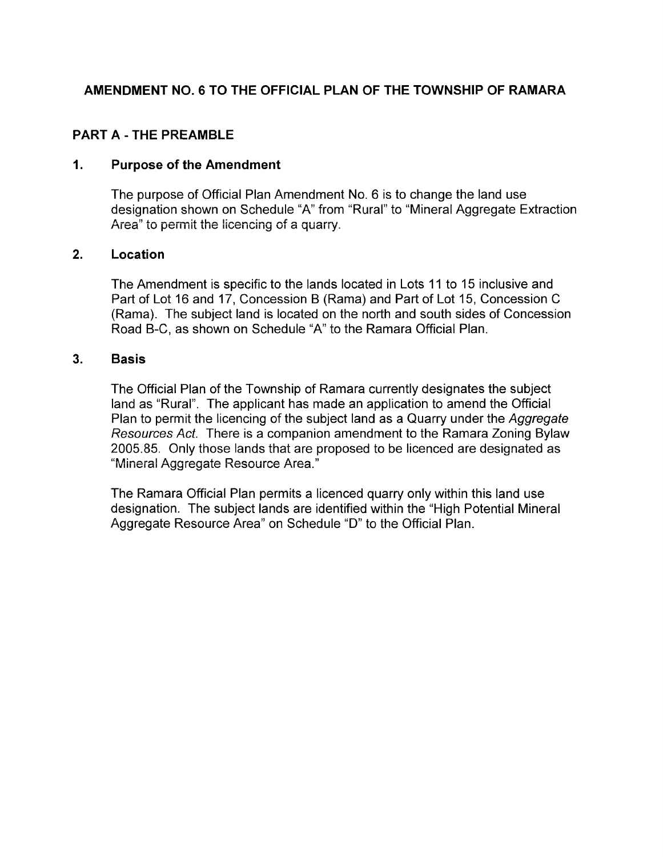# AMENDMENT NO.6 TO THE OFFICIAL PLAN OF THE TOWNSHIP OF RAMARA

## PART A - THE PREAMBLE

#### 1. Purpose of the Amendment

The purpose of Official Plan Amendment No. 6 is to change the land use designation shown on Schedule "A" from "Rural" to "Mineral Aggregate Extraction Area" to permit the licencing of a quarry.

### 2. Location

The Amendment is specific to the lands located in Lots 11 to 15 inclusive and Part of Lot 16 and 17, Concession B (Rama) and Part of Lot 15, Concession C (Rama). The subject land is located on the north and south sides of Concession Road B-C, as shown on Schedule "A" to the Ramara Official Plan.

#### 3. Basis

The Official Plan of the Township of Ramara currently designates the subject land as "Rural". The applicant has made an application to amend the Official Plan to permit the licencing of the subject land as a Quarry under the Aggregate Resources Act. There is a companion amendment to the Ramara Zoning Bylaw 2005.85. Only those lands that are proposed to be licenced are designated as "Mineral Aggregate Resource Area."

The Ramara Official Plan permits a licenced quarry only within this land use designation. The subject lands are identified within the "High Potential Mineral Aggregate Resource Area" on Schedule "D" to the Official Plan.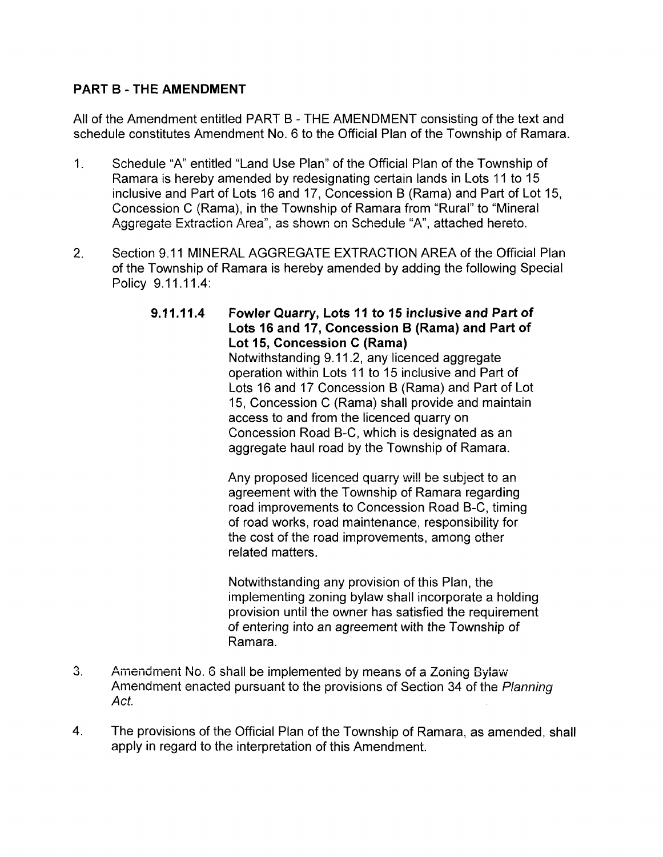# PART B - THE AMENDMENT

All of the Amendment entitled PART B - THE AMENDMENT consisting of the text and schedule constitutes Amendment No. 6 to the Official Plan of the Township of Ramara.

- 1. Schedule "A" entitled "Land Use Plan" of the Official Plan of the Township of Ramara is hereby amended by redesignating certain lands in Lots 11 to 15 inclusive and Part of Lots 16 and 17, Concession B (Rama) and Part of Lot 15, Concession C (Rama), in the Township of Ramara from "Rural" to "Mineral Aggregate Extraction Area", as shown on Schedule "A", attached hereto.
- 2. Section 9.11 MINERAL AGGREGATE EXTRACTION AREA of the Official Plan of the Township of Ramara is hereby amended by adding the following Special Policy 9.11.11.4:
	- 9.11.11.4 Fowler Quarry, Lots 11 to 15 inclusive and Part of Lots 16 and 17, Concession B (Rama) and Part of Lot 15, Concession C (Rama) Notwithstanding 9.11.2, any licenced aggregate

operation within Lots 11 to 15 inclusive and Part of Lots 16 and 17 Concession B (Rama) and Part of Lot 15, Concession C (Rama) shall provide and maintain access to and from the licenced quarry on Concession Road B-C, which is designated as an aggregate haul road by the Township of Ramara.

Any proposed licenced quarry will be subject to an agreement with the Township of Ramara regarding road improvements to Concession Road B-C, timing of road works, road maintenance, responsibility for the cost of the road improvements, among other related matters.

Notwithstanding any provision of this Plan, the implementing zoning bylaw shall incorporate a holding provision until the owner has satisfied the requirement of entering into an agreement with the Township of Ramara.

- 3. Amendment No.6 shall be implemented by means of a Zoning Bylaw Amendment enacted pursuant to the provisions of Section 34 of the Planning Act.
- 4. The provisions of the Official Plan of the Township of Ramara, as amended, shall apply in regard to the interpretation of this Amendment.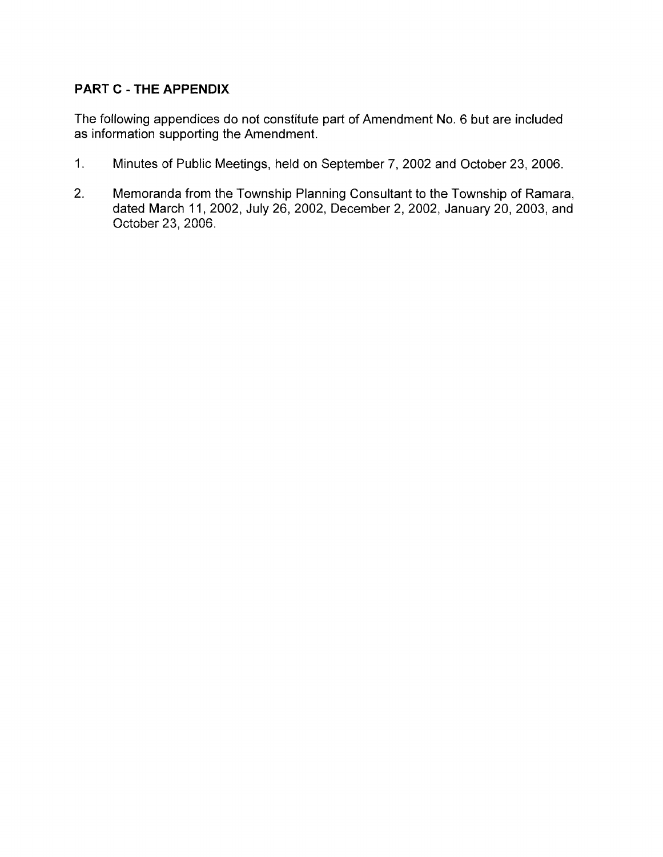# **PART C - THE APPENDIX**

The following appendices do not constitute part of Amendment No.6 but are included as information supporting the Amendment.

- 1. Minutes of Public Meetings, held on September 7,2002 and October 23,2006.
- 2. Memoranda from the Township Planning Consultant to the Township of Ramara, dated March 11,2002, July 26, 2002, December 2,2002, January 20, 2003, and October 23, 2006.